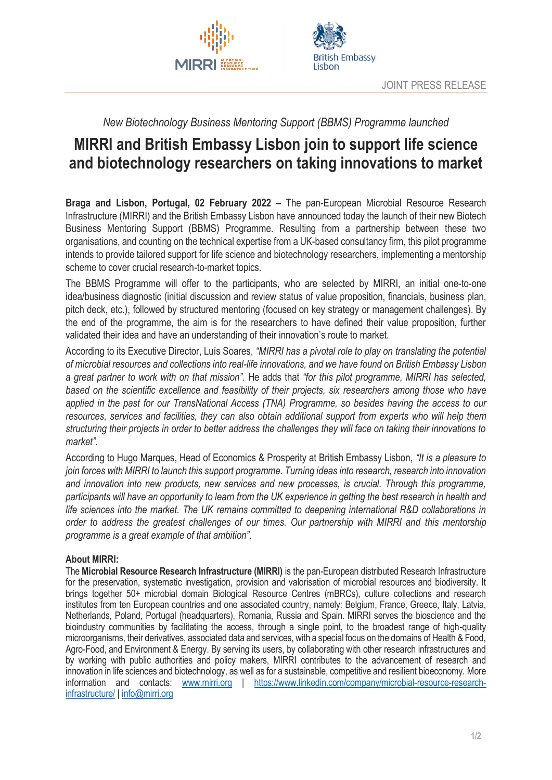



## *New Biotechnology Business Mentoring Support (BBMS) Programme launched*

## **MIRRI and British Embassy Lisbon join to support life science and biotechnology researchers on taking innovations to market**

**Braga and Lisbon, Portugal, 02 February 2022 –** The pan-European Microbial Resource Research Infrastructure (MIRRI) and the British Embassy Lisbon have announced today the launch of their new Biotech Business Mentoring Support (BBMS) Programme. Resulting from a partnership between these two organisations, and counting on the technical expertise from a UK-based consultancy firm, this pilot programme intends to provide tailored support for life science and biotechnology researchers, implementing a mentorship scheme to cover crucial research-to-market topics.

The BBMS Programme will offer to the participants, who are selected by MIRRI, an initial one-to-one idea/business diagnostic (initial discussion and review status of value proposition, financials, business plan, pitch deck, etc.), followed by structured mentoring (focused on key strategy or management challenges). By the end of the programme, the aim is for the researchers to have defined their value proposition, further validated their idea and have an understanding of their innovation's route to market.

According to its Executive Director, Luís Soares, *"MIRRI has a pivotal role to play on translating the potential of microbial resources and collections into real-life innovations, and we have found on British Embassy Lisbon a great partner to work with on that mission".* He adds that *"for this pilot programme, MIRRI has selected, based on the scientific excellence and feasibility of their projects, six researchers among those who have applied in the past for our TransNational Access (TNA) Programme, so besides having the access to our resources, services and facilities, they can also obtain additional support from experts who will help them structuring their projects in order to better address the challenges they will face on taking their innovations to market"*.

According to Hugo Marques, Head of Economics & Prosperity at British Embassy Lisbon, *"It is a pleasure to join forces with MIRRI to launch this support programme. Turning ideas into research, research into innovation and innovation into new products, new services and new processes, is crucial. Through this programme, participants will have an opportunity to learn from the UK experience in getting the best research in health and life sciences into the market. The UK remains committed to deepening international R&D collaborations in order to address the greatest challenges of our times. Our partnership with MIRRI and this mentorship programme is a great example of that ambition"*.

## **About MIRRI:**

The **Microbial Resource Research Infrastructure (MIRRI)** is the pan-European distributed Research Infrastructure for the preservation, systematic investigation, provision and valorisation of microbial resources and biodiversity. It brings together 50+ microbial domain Biological Resource Centres (mBRCs), culture collections and research institutes from ten European countries and one associated country, namely: Belgium, France, Greece, Italy, Latvia, Netherlands, Poland, Portugal (headquarters), Romania, Russia and Spain. MIRRI serves the bioscience and the bioindustry communities by facilitating the access, through a single point, to the broadest range of high-quality microorganisms, their derivatives, associated data and services, with a special focus on the domains of Health & Food, Agro-Food, and Environment & Energy. By serving its users, by collaborating with other research infrastructures and by working with public authorities and policy makers, MIRRI contributes to the advancement of research and innovation in life sciences and biotechnology, as well as for a sustainable, competitive and resilient bioeconomy. More information and contacts: [www.mirri.org](http://www.mirri.org/) | [https://www.linkedin.com/company/microbial-resource-research](https://www.linkedin.com/company/microbial-resource-research-infrastructure/)[infrastructure/](https://www.linkedin.com/company/microbial-resource-research-infrastructure/) | [info@mirri.org](mailto:info@mirri.org)